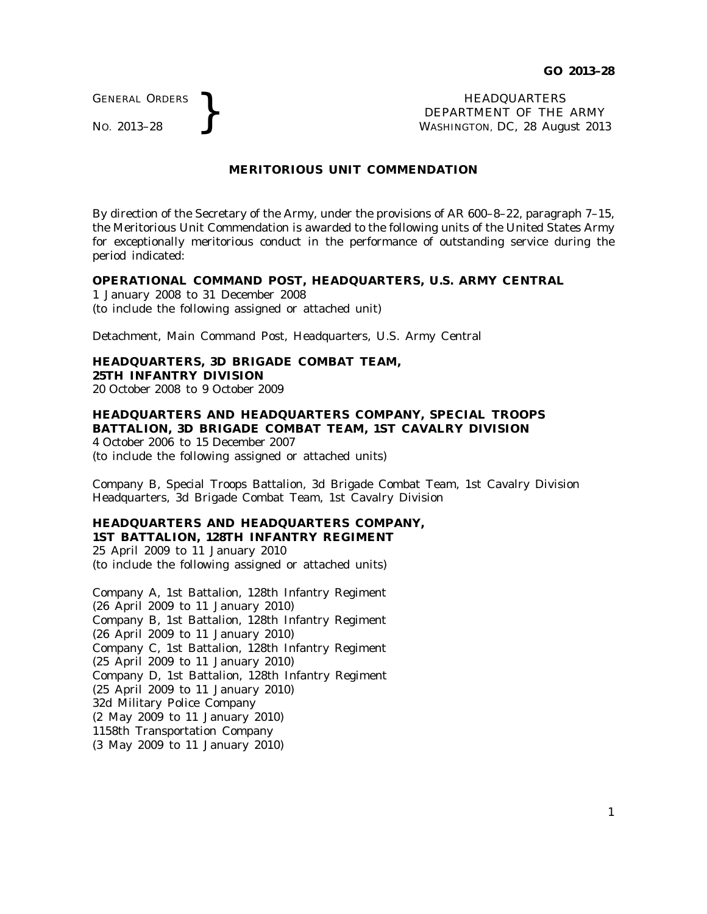GENERAL ORDERS

GENERAL ORDERS **REAL ORDERS REAL ORDERS REAL ORDERS REAL ORDERS REAL ORDERS REAL ORDERS REAL ORDERS REAL ORDERS REAL ORDERS REAL ORDERS REAL ORDERS REAL ORDER REAL ORDER REAL ORDER AND MASHINGTON** DEPARTMENT OF THE ARMY WASHINGTON, DC, *28 August 2013*

## **MERITORIOUS UNIT COMMENDATION**

By direction of the Secretary of the Army, under the provisions of AR 600–8–22, paragraph 7–15, the Meritorious Unit Commendation is awarded to the following units of the United States Army for exceptionally meritorious conduct in the performance of outstanding service during the period indicated:

#### **OPERATIONAL COMMAND POST, HEADQUARTERS, U.S. ARMY CENTRAL**

1 January 2008 to 31 December 2008 (to include the following assigned or attached unit)

Detachment, Main Command Post, Headquarters, U.S. Army Central

# **HEADQUARTERS, 3D BRIGADE COMBAT TEAM,**

**25TH INFANTRY DIVISION**

20 October 2008 to 9 October 2009

## **HEADQUARTERS AND HEADQUARTERS COMPANY, SPECIAL TROOPS BATTALION, 3D BRIGADE COMBAT TEAM, 1ST CAVALRY DIVISION**

4 October 2006 to 15 December 2007 (to include the following assigned or attached units)

Company B, Special Troops Battalion, 3d Brigade Combat Team, 1st Cavalry Division Headquarters, 3d Brigade Combat Team, 1st Cavalry Division

## **HEADQUARTERS AND HEADQUARTERS COMPANY, 1ST BATTALION, 128TH INFANTRY REGIMENT**

25 April 2009 to 11 January 2010 (to include the following assigned or attached units)

Company A, 1st Battalion, 128th Infantry Regiment (26 April 2009 to 11 January 2010) Company B, 1st Battalion, 128th Infantry Regiment (26 April 2009 to 11 January 2010) Company C, 1st Battalion, 128th Infantry Regiment (25 April 2009 to 11 January 2010) Company D, 1st Battalion, 128th Infantry Regiment (25 April 2009 to 11 January 2010) 32d Military Police Company (2 May 2009 to 11 January 2010) 1158th Transportation Company (3 May 2009 to 11 January 2010)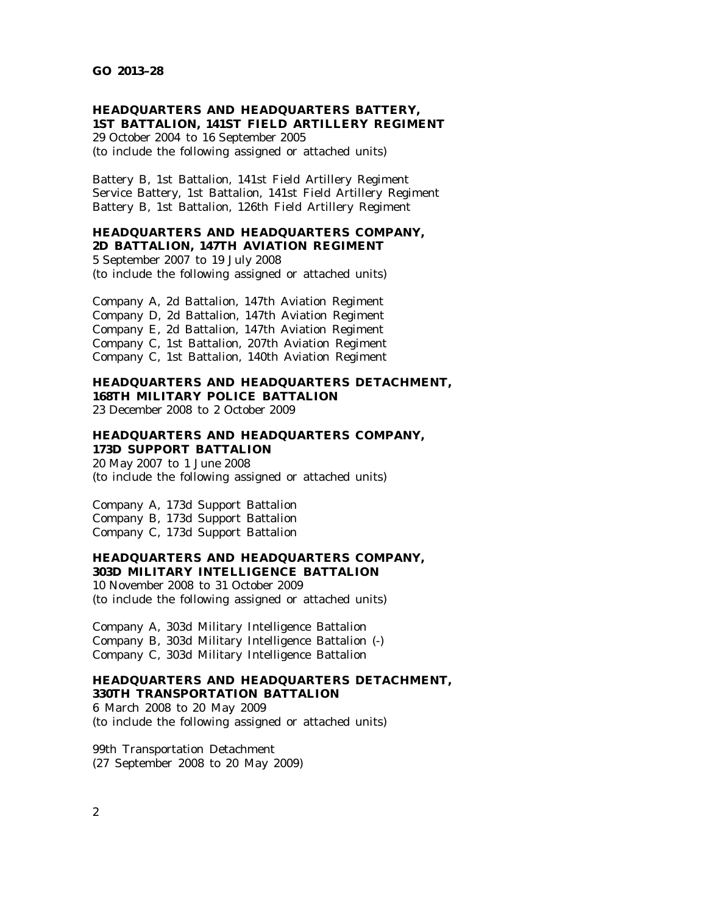## **HEADQUARTERS AND HEADQUARTERS BATTERY, 1ST BATTALION, 141ST FIELD ARTILLERY REGIMENT**

29 October 2004 to 16 September 2005 (to include the following assigned or attached units)

Battery B, 1st Battalion, 141st Field Artillery Regiment Service Battery, 1st Battalion, 141st Field Artillery Regiment Battery B, 1st Battalion, 126th Field Artillery Regiment

#### **HEADQUARTERS AND HEADQUARTERS COMPANY, 2D BATTALION, 147TH AVIATION REGIMENT**

5 September 2007 to 19 July 2008 (to include the following assigned or attached units)

Company A, 2d Battalion, 147th Aviation Regiment Company D, 2d Battalion, 147th Aviation Regiment Company E, 2d Battalion, 147th Aviation Regiment Company C, 1st Battalion, 207th Aviation Regiment Company C, 1st Battalion, 140th Aviation Regiment

# **HEADQUARTERS AND HEADQUARTERS DETACHMENT, 168TH MILITARY POLICE BATTALION**

23 December 2008 to 2 October 2009

## **HEADQUARTERS AND HEADQUARTERS COMPANY, 173D SUPPORT BATTALION**

20 May 2007 to 1 June 2008 (to include the following assigned or attached units)

Company A, 173d Support Battalion Company B, 173d Support Battalion Company C, 173d Support Battalion

## **HEADQUARTERS AND HEADQUARTERS COMPANY, 303D MILITARY INTELLIGENCE BATTALION**

10 November 2008 to 31 October 2009 (to include the following assigned or attached units)

Company A, 303d Military Intelligence Battalion Company B, 303d Military Intelligence Battalion (-) Company C, 303d Military Intelligence Battalion

## **HEADQUARTERS AND HEADQUARTERS DETACHMENT, 330TH TRANSPORTATION BATTALION**

6 March 2008 to 20 May 2009 (to include the following assigned or attached units)

99th Transportation Detachment (27 September 2008 to 20 May 2009)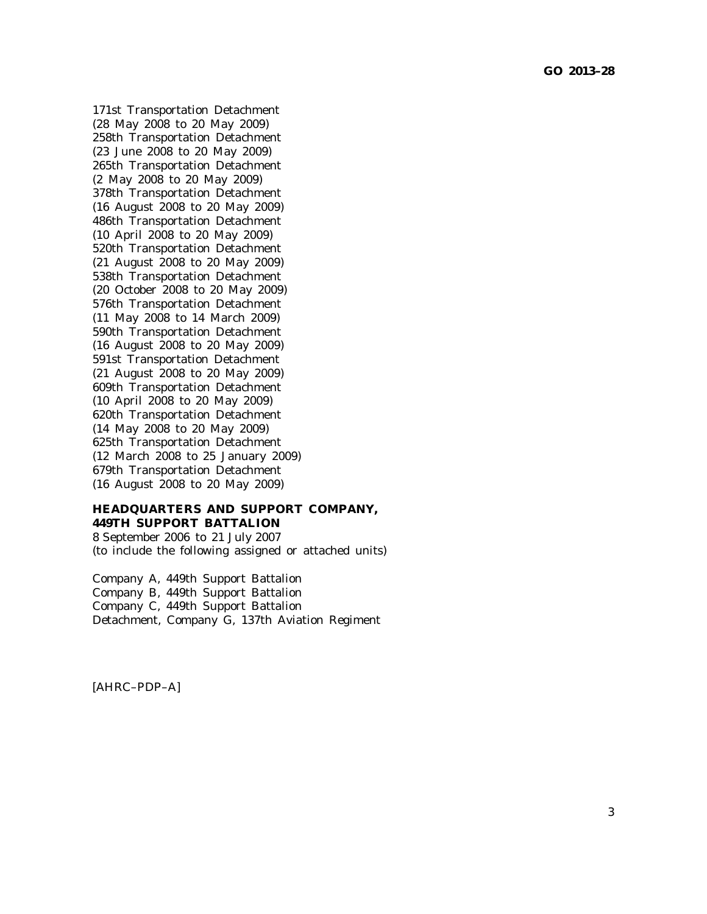171st Transportation Detachment (28 May 2008 to 20 May 2009) 258th Transportation Detachment (23 June 2008 to 20 May 2009) 265th Transportation Detachment (2 May 2008 to 20 May 2009) 378th Transportation Detachment (16 August 2008 to 20 May 2009) 486th Transportation Detachment (10 April 2008 to 20 May 2009) 520th Transportation Detachment (21 August 2008 to 20 May 2009) 538th Transportation Detachment (20 October 2008 to 20 May 2009) 576th Transportation Detachment (11 May 2008 to 14 March 2009) 590th Transportation Detachment (16 August 2008 to 20 May 2009) 591st Transportation Detachment (21 August 2008 to 20 May 2009) 609th Transportation Detachment (10 April 2008 to 20 May 2009) 620th Transportation Detachment (14 May 2008 to 20 May 2009) 625th Transportation Detachment (12 March 2008 to 25 January 2009) 679th Transportation Detachment (16 August 2008 to 20 May 2009)

## **HEADQUARTERS AND SUPPORT COMPANY, 449TH SUPPORT BATTALION**

8 September 2006 to 21 July 2007 (to include the following assigned or attached units)

Company A, 449th Support Battalion Company B, 449th Support Battalion Company C, 449th Support Battalion Detachment, Company G, 137th Aviation Regiment

[AHRC–PDP–A]